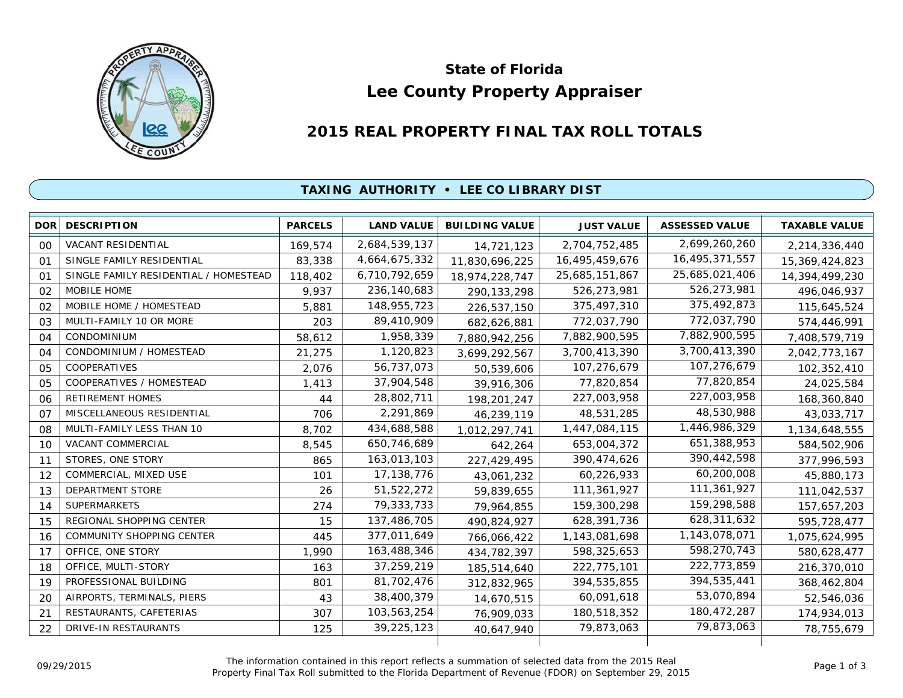

# **Lee County Property Appraiser State of Florida**

## **2015 REAL PROPERTY FINAL TAX ROLL TOTALS**

### **TAXING AUTHORITY • LEE CO LIBRARY DIST**

| DOR <sup>1</sup> | <b>DESCRIPTION</b>                    | <b>PARCELS</b> | <b>LAND VALUE</b> | <b>BUILDING VALUE</b> | <b>JUST VALUE</b> | <b>ASSESSED VALUE</b> | <b>TAXABLE VALUE</b> |
|------------------|---------------------------------------|----------------|-------------------|-----------------------|-------------------|-----------------------|----------------------|
| 0 <sup>0</sup>   | <b>VACANT RESIDENTIAL</b>             | 169,574        | 2,684,539,137     | 14,721,123            | 2,704,752,485     | 2,699,260,260         | 2,214,336,440        |
| 01               | SINGLE FAMILY RESIDENTIAL             | 83,338         | 4,664,675,332     | 11,830,696,225        | 16,495,459,676    | 16,495,371,557        | 15,369,424,823       |
| 01               | SINGLE FAMILY RESIDENTIAL / HOMESTEAD | 118,402        | 6,710,792,659     | 18,974,228,747        | 25,685,151,867    | 25,685,021,406        | 14,394,499,230       |
| 02               | MOBILE HOME                           | 9,937          | 236,140,683       | 290, 133, 298         | 526,273,981       | 526,273,981           | 496,046,937          |
| 02               | MOBILE HOME / HOMESTEAD               | 5,881          | 148,955,723       | 226,537,150           | 375,497,310       | 375,492,873           | 115,645,524          |
| 03               | MULTI-FAMILY 10 OR MORE               | 203            | 89,410,909        | 682,626,881           | 772,037,790       | 772,037,790           | 574,446,991          |
| 04               | CONDOMINIUM                           | 58,612         | 1,958,339         | 7,880,942,256         | 7,882,900,595     | 7,882,900,595         | 7,408,579,719        |
| 04               | CONDOMINIUM / HOMESTEAD               | 21,275         | 1,120,823         | 3,699,292,567         | 3,700,413,390     | 3,700,413,390         | 2,042,773,167        |
| 05               | <b>COOPERATIVES</b>                   | 2,076          | 56,737,073        | 50,539,606            | 107,276,679       | 107,276,679           | 102,352,410          |
| 0 <sub>5</sub>   | COOPERATIVES / HOMESTEAD              | 1,413          | 37,904,548        | 39,916,306            | 77,820,854        | 77,820,854            | 24,025,584           |
| 06               | <b>RETIREMENT HOMES</b>               | 44             | 28,802,711        | 198,201,247           | 227,003,958       | 227,003,958           | 168,360,840          |
| 07               | MISCELLANEOUS RESIDENTIAL             | 706            | 2,291,869         | 46,239,119            | 48,531,285        | 48,530,988            | 43,033,717           |
| 08               | MULTI-FAMILY LESS THAN 10             | 8,702          | 434,688,588       | 1,012,297,741         | 1,447,084,115     | 1,446,986,329         | 1,134,648,555        |
| 10               | <b>VACANT COMMERCIAL</b>              | 8,545          | 650,746,689       | 642,264               | 653,004,372       | 651,388,953           | 584,502,906          |
| 11               | STORES, ONE STORY                     | 865            | 163,013,103       | 227,429,495           | 390,474,626       | 390,442,598           | 377,996,593          |
| 12               | COMMERCIAL, MIXED USE                 | 101            | 17,138,776        | 43,061,232            | 60,226,933        | 60,200,008            | 45,880,173           |
| 13               | DEPARTMENT STORE                      | 26             | 51,522,272        | 59,839,655            | 111,361,927       | 111,361,927           | 111,042,537          |
| 14               | <b>SUPERMARKETS</b>                   | 274            | 79,333,733        | 79,964,855            | 159,300,298       | 159,298,588           | 157,657,203          |
| 15               | REGIONAL SHOPPING CENTER              | 15             | 137,486,705       | 490,824,927           | 628,391,736       | 628,311,632           | 595,728,477          |
| 16               | COMMUNITY SHOPPING CENTER             | 445            | 377,011,649       | 766,066,422           | 1,143,081,698     | 1,143,078,071         | 1,075,624,995        |
| 17               | OFFICE, ONE STORY                     | 1,990          | 163,488,346       | 434,782,397           | 598,325,653       | 598,270,743           | 580,628,477          |
| 18               | OFFICE, MULTI-STORY                   | 163            | 37,259,219        | 185,514,640           | 222,775,101       | 222,773,859           | 216,370,010          |
| 19               | PROFESSIONAL BUILDING                 | 801            | 81,702,476        | 312,832,965           | 394,535,855       | 394,535,441           | 368,462,804          |
| 20               | AIRPORTS, TERMINALS, PIERS            | 43             | 38,400,379        | 14,670,515            | 60,091,618        | 53,070,894            | 52,546,036           |
| 21               | RESTAURANTS, CAFETERIAS               | 307            | 103,563,254       | 76,909,033            | 180,518,352       | 180,472,287           | 174,934,013          |
| 22               | <b>DRIVE-IN RESTAURANTS</b>           | 125            | 39,225,123        | 40,647,940            | 79,873,063        | 79,873,063            | 78,755,679           |
|                  |                                       |                |                   |                       |                   |                       |                      |

The information contained in this report reflects a summation of selected data from the 2015 Real Ine information contained in this report reflects a summation of selected data from the 2015 Real<br>Property Final Tax Roll submitted to the Florida Department of Revenue (FDOR) on September 29, 2015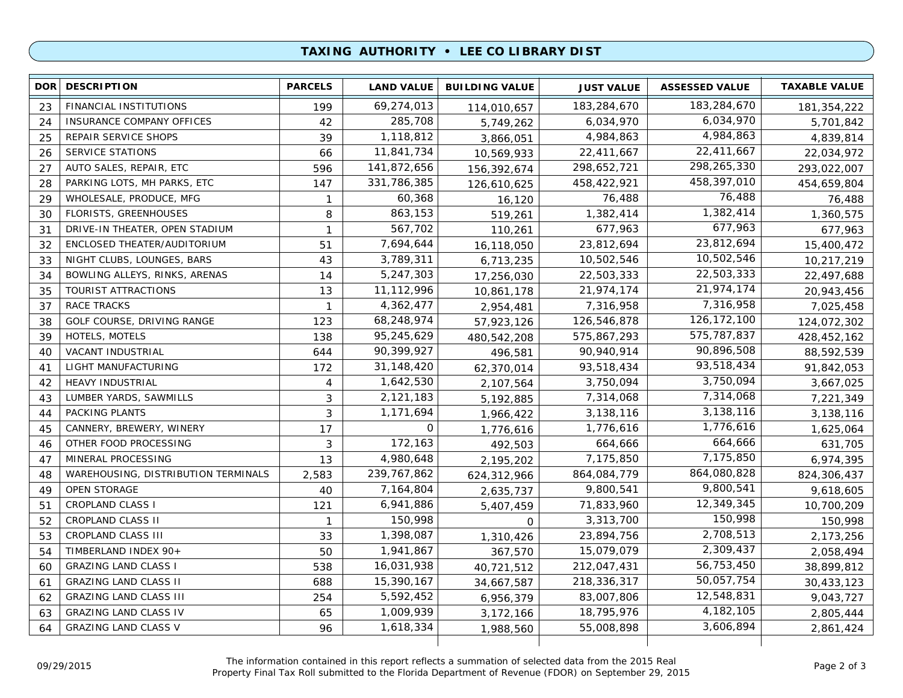#### **TAXING AUTHORITY • LEE CO LIBRARY DIST**

| 183,284,670<br>69,274,013<br>FINANCIAL INSTITUTIONS<br>183,284,670<br>23<br>199<br>114,010,657<br>6,034,970<br>285,708<br>6,034,970<br>INSURANCE COMPANY OFFICES<br>42<br>24<br>5,749,262<br>4,984,863<br>1,118,812<br>4,984,863<br>REPAIR SERVICE SHOPS<br>39<br>25<br>3,866,051<br>22,411,667<br>11,841,734<br>SERVICE STATIONS<br>22,411,667<br>26<br>66<br>10,569,933<br>298,265,330<br>141,872,656<br>AUTO SALES, REPAIR, ETC<br>596<br>298,652,721<br>27<br>156,392,674<br>458,397,010<br>PARKING LOTS, MH PARKS, ETC<br>331,786,385<br>458,422,921<br>28<br>147<br>126,610,625<br>76,488<br>60,368<br>WHOLESALE, PRODUCE, MFG<br>76,488<br>29<br>$\mathbf{1}$<br>16,120<br>1,382,414<br>863,153<br>FLORISTS, GREENHOUSES<br>1,382,414<br>8<br>30<br>519,261<br>677,963<br>567,702<br>677,963<br>DRIVE-IN THEATER, OPEN STADIUM<br>31<br>$\mathbf{1}$<br>110,261<br>23,812,694<br>7,694,644<br>23,812,694<br>32<br>ENCLOSED THEATER/AUDITORIUM<br>51<br>16,118,050<br>10,502,546<br>3,789,311<br>10,502,546<br>33<br>NIGHT CLUBS, LOUNGES, BARS<br>43<br>6,713,235<br>22,503,333<br>5,247,303<br>BOWLING ALLEYS, RINKS, ARENAS<br>22,503,333<br>34<br>14<br>17,256,030<br>21,974,174<br>11,112,996<br>TOURIST ATTRACTIONS<br>21,974,174<br>35<br>13<br>10,861,178<br>7,316,958<br>4,362,477<br>RACE TRACKS<br>37<br>7,316,958<br>$\mathbf{1}$<br>2,954,481<br>126, 172, 100<br>68,248,974<br>GOLF COURSE, DRIVING RANGE<br>126,546,878<br>38<br>123<br>57,923,126<br>575,787,837<br>95,245,629<br>HOTELS, MOTELS<br>138<br>575,867,293<br>39<br>480,542,208<br>90,896,508<br>90,399,927<br>VACANT INDUSTRIAL<br>644<br>90,940,914<br>40<br>496,581<br>93,518,434<br>LIGHT MANUFACTURING<br>31,148,420<br>93,518,434<br>41<br>172<br>62,370,014<br>3,750,094<br>1,642,530<br><b>HEAVY INDUSTRIAL</b><br>3,750,094<br>42<br>4<br>2,107,564<br>7,314,068<br>2,121,183<br>LUMBER YARDS, SAWMILLS<br>3<br>7,314,068<br>43<br>5,192,885<br>3,138,116<br>PACKING PLANTS<br>3<br>1,171,694<br>3,138,116<br>44<br>1,966,422<br>1,776,616<br>0<br>CANNERY, BREWERY, WINERY<br>1,776,616<br>17<br>45<br>1,776,616<br>664,666<br>172,163<br>OTHER FOOD PROCESSING<br>3<br>664,666<br>46<br>492,503<br>7,175,850<br>MINERAL PROCESSING<br>4,980,648<br>13<br>7,175,850<br>47<br>2,195,202<br>864,080,828<br>239, 767, 862<br>864,084,779<br>WAREHOUSING, DISTRIBUTION TERMINALS<br>2,583<br>48<br>624,312,966<br>9,800,541<br>OPEN STORAGE<br>7,164,804<br>9,800,541<br>49<br>40<br>2,635,737<br>12,349,345<br><b>CROPLAND CLASS I</b><br>6,941,886<br>71,833,960<br>51<br>121<br>5,407,459<br>150,998<br><b>CROPLAND CLASS II</b><br>150,998<br>3,313,700<br>52<br>$\mathbf{1}$<br>0<br>2,708,513<br>1,398,087<br>CROPLAND CLASS III<br>23,894,756<br>53<br>33<br>1,310,426<br>2,309,437<br>TIMBERLAND INDEX 90+<br>1,941,867<br>15,079,079<br>54<br>50<br>367,570<br>56,753,450<br>16,031,938<br><b>GRAZING LAND CLASS I</b><br>212,047,431<br>538<br>60<br>40,721,512 | <b>DOR</b> | <b>DESCRIPTION</b>           | <b>PARCELS</b> | <b>LAND VALUE</b> | <b>BUILDING VALUE</b> | <b>JUST VALUE</b> | <b>ASSESSED VALUE</b> | <b>TAXABLE VALUE</b> |
|-------------------------------------------------------------------------------------------------------------------------------------------------------------------------------------------------------------------------------------------------------------------------------------------------------------------------------------------------------------------------------------------------------------------------------------------------------------------------------------------------------------------------------------------------------------------------------------------------------------------------------------------------------------------------------------------------------------------------------------------------------------------------------------------------------------------------------------------------------------------------------------------------------------------------------------------------------------------------------------------------------------------------------------------------------------------------------------------------------------------------------------------------------------------------------------------------------------------------------------------------------------------------------------------------------------------------------------------------------------------------------------------------------------------------------------------------------------------------------------------------------------------------------------------------------------------------------------------------------------------------------------------------------------------------------------------------------------------------------------------------------------------------------------------------------------------------------------------------------------------------------------------------------------------------------------------------------------------------------------------------------------------------------------------------------------------------------------------------------------------------------------------------------------------------------------------------------------------------------------------------------------------------------------------------------------------------------------------------------------------------------------------------------------------------------------------------------------------------------------------------------------------------------------------------------------------------------------------------------------------------------------------------------------------------------------------------------------------------------------------------------------------------------------------------------------------------------------------------------------------------------------------------------------------------------------------------------------------|------------|------------------------------|----------------|-------------------|-----------------------|-------------------|-----------------------|----------------------|
|                                                                                                                                                                                                                                                                                                                                                                                                                                                                                                                                                                                                                                                                                                                                                                                                                                                                                                                                                                                                                                                                                                                                                                                                                                                                                                                                                                                                                                                                                                                                                                                                                                                                                                                                                                                                                                                                                                                                                                                                                                                                                                                                                                                                                                                                                                                                                                                                                                                                                                                                                                                                                                                                                                                                                                                                                                                                                                                                                                   |            |                              |                |                   |                       |                   |                       | 181,354,222          |
|                                                                                                                                                                                                                                                                                                                                                                                                                                                                                                                                                                                                                                                                                                                                                                                                                                                                                                                                                                                                                                                                                                                                                                                                                                                                                                                                                                                                                                                                                                                                                                                                                                                                                                                                                                                                                                                                                                                                                                                                                                                                                                                                                                                                                                                                                                                                                                                                                                                                                                                                                                                                                                                                                                                                                                                                                                                                                                                                                                   |            |                              |                |                   |                       |                   |                       | 5,701,842            |
|                                                                                                                                                                                                                                                                                                                                                                                                                                                                                                                                                                                                                                                                                                                                                                                                                                                                                                                                                                                                                                                                                                                                                                                                                                                                                                                                                                                                                                                                                                                                                                                                                                                                                                                                                                                                                                                                                                                                                                                                                                                                                                                                                                                                                                                                                                                                                                                                                                                                                                                                                                                                                                                                                                                                                                                                                                                                                                                                                                   |            |                              |                |                   |                       |                   |                       | 4,839,814            |
|                                                                                                                                                                                                                                                                                                                                                                                                                                                                                                                                                                                                                                                                                                                                                                                                                                                                                                                                                                                                                                                                                                                                                                                                                                                                                                                                                                                                                                                                                                                                                                                                                                                                                                                                                                                                                                                                                                                                                                                                                                                                                                                                                                                                                                                                                                                                                                                                                                                                                                                                                                                                                                                                                                                                                                                                                                                                                                                                                                   |            |                              |                |                   |                       |                   |                       | 22,034,972           |
|                                                                                                                                                                                                                                                                                                                                                                                                                                                                                                                                                                                                                                                                                                                                                                                                                                                                                                                                                                                                                                                                                                                                                                                                                                                                                                                                                                                                                                                                                                                                                                                                                                                                                                                                                                                                                                                                                                                                                                                                                                                                                                                                                                                                                                                                                                                                                                                                                                                                                                                                                                                                                                                                                                                                                                                                                                                                                                                                                                   |            |                              |                |                   |                       |                   |                       | 293,022,007          |
|                                                                                                                                                                                                                                                                                                                                                                                                                                                                                                                                                                                                                                                                                                                                                                                                                                                                                                                                                                                                                                                                                                                                                                                                                                                                                                                                                                                                                                                                                                                                                                                                                                                                                                                                                                                                                                                                                                                                                                                                                                                                                                                                                                                                                                                                                                                                                                                                                                                                                                                                                                                                                                                                                                                                                                                                                                                                                                                                                                   |            |                              |                |                   |                       |                   |                       | 454,659,804          |
|                                                                                                                                                                                                                                                                                                                                                                                                                                                                                                                                                                                                                                                                                                                                                                                                                                                                                                                                                                                                                                                                                                                                                                                                                                                                                                                                                                                                                                                                                                                                                                                                                                                                                                                                                                                                                                                                                                                                                                                                                                                                                                                                                                                                                                                                                                                                                                                                                                                                                                                                                                                                                                                                                                                                                                                                                                                                                                                                                                   |            |                              |                |                   |                       |                   |                       | 76,488               |
|                                                                                                                                                                                                                                                                                                                                                                                                                                                                                                                                                                                                                                                                                                                                                                                                                                                                                                                                                                                                                                                                                                                                                                                                                                                                                                                                                                                                                                                                                                                                                                                                                                                                                                                                                                                                                                                                                                                                                                                                                                                                                                                                                                                                                                                                                                                                                                                                                                                                                                                                                                                                                                                                                                                                                                                                                                                                                                                                                                   |            |                              |                |                   |                       |                   |                       | 1,360,575            |
|                                                                                                                                                                                                                                                                                                                                                                                                                                                                                                                                                                                                                                                                                                                                                                                                                                                                                                                                                                                                                                                                                                                                                                                                                                                                                                                                                                                                                                                                                                                                                                                                                                                                                                                                                                                                                                                                                                                                                                                                                                                                                                                                                                                                                                                                                                                                                                                                                                                                                                                                                                                                                                                                                                                                                                                                                                                                                                                                                                   |            |                              |                |                   |                       |                   |                       | 677,963              |
|                                                                                                                                                                                                                                                                                                                                                                                                                                                                                                                                                                                                                                                                                                                                                                                                                                                                                                                                                                                                                                                                                                                                                                                                                                                                                                                                                                                                                                                                                                                                                                                                                                                                                                                                                                                                                                                                                                                                                                                                                                                                                                                                                                                                                                                                                                                                                                                                                                                                                                                                                                                                                                                                                                                                                                                                                                                                                                                                                                   |            |                              |                |                   |                       |                   |                       | 15,400,472           |
|                                                                                                                                                                                                                                                                                                                                                                                                                                                                                                                                                                                                                                                                                                                                                                                                                                                                                                                                                                                                                                                                                                                                                                                                                                                                                                                                                                                                                                                                                                                                                                                                                                                                                                                                                                                                                                                                                                                                                                                                                                                                                                                                                                                                                                                                                                                                                                                                                                                                                                                                                                                                                                                                                                                                                                                                                                                                                                                                                                   |            |                              |                |                   |                       |                   |                       | 10,217,219           |
|                                                                                                                                                                                                                                                                                                                                                                                                                                                                                                                                                                                                                                                                                                                                                                                                                                                                                                                                                                                                                                                                                                                                                                                                                                                                                                                                                                                                                                                                                                                                                                                                                                                                                                                                                                                                                                                                                                                                                                                                                                                                                                                                                                                                                                                                                                                                                                                                                                                                                                                                                                                                                                                                                                                                                                                                                                                                                                                                                                   |            |                              |                |                   |                       |                   |                       | 22,497,688           |
|                                                                                                                                                                                                                                                                                                                                                                                                                                                                                                                                                                                                                                                                                                                                                                                                                                                                                                                                                                                                                                                                                                                                                                                                                                                                                                                                                                                                                                                                                                                                                                                                                                                                                                                                                                                                                                                                                                                                                                                                                                                                                                                                                                                                                                                                                                                                                                                                                                                                                                                                                                                                                                                                                                                                                                                                                                                                                                                                                                   |            |                              |                |                   |                       |                   |                       | 20,943,456           |
|                                                                                                                                                                                                                                                                                                                                                                                                                                                                                                                                                                                                                                                                                                                                                                                                                                                                                                                                                                                                                                                                                                                                                                                                                                                                                                                                                                                                                                                                                                                                                                                                                                                                                                                                                                                                                                                                                                                                                                                                                                                                                                                                                                                                                                                                                                                                                                                                                                                                                                                                                                                                                                                                                                                                                                                                                                                                                                                                                                   |            |                              |                |                   |                       |                   |                       | 7,025,458            |
|                                                                                                                                                                                                                                                                                                                                                                                                                                                                                                                                                                                                                                                                                                                                                                                                                                                                                                                                                                                                                                                                                                                                                                                                                                                                                                                                                                                                                                                                                                                                                                                                                                                                                                                                                                                                                                                                                                                                                                                                                                                                                                                                                                                                                                                                                                                                                                                                                                                                                                                                                                                                                                                                                                                                                                                                                                                                                                                                                                   |            |                              |                |                   |                       |                   |                       | 124,072,302          |
|                                                                                                                                                                                                                                                                                                                                                                                                                                                                                                                                                                                                                                                                                                                                                                                                                                                                                                                                                                                                                                                                                                                                                                                                                                                                                                                                                                                                                                                                                                                                                                                                                                                                                                                                                                                                                                                                                                                                                                                                                                                                                                                                                                                                                                                                                                                                                                                                                                                                                                                                                                                                                                                                                                                                                                                                                                                                                                                                                                   |            |                              |                |                   |                       |                   |                       | 428,452,162          |
|                                                                                                                                                                                                                                                                                                                                                                                                                                                                                                                                                                                                                                                                                                                                                                                                                                                                                                                                                                                                                                                                                                                                                                                                                                                                                                                                                                                                                                                                                                                                                                                                                                                                                                                                                                                                                                                                                                                                                                                                                                                                                                                                                                                                                                                                                                                                                                                                                                                                                                                                                                                                                                                                                                                                                                                                                                                                                                                                                                   |            |                              |                |                   |                       |                   |                       | 88,592,539           |
|                                                                                                                                                                                                                                                                                                                                                                                                                                                                                                                                                                                                                                                                                                                                                                                                                                                                                                                                                                                                                                                                                                                                                                                                                                                                                                                                                                                                                                                                                                                                                                                                                                                                                                                                                                                                                                                                                                                                                                                                                                                                                                                                                                                                                                                                                                                                                                                                                                                                                                                                                                                                                                                                                                                                                                                                                                                                                                                                                                   |            |                              |                |                   |                       |                   |                       | 91,842,053           |
|                                                                                                                                                                                                                                                                                                                                                                                                                                                                                                                                                                                                                                                                                                                                                                                                                                                                                                                                                                                                                                                                                                                                                                                                                                                                                                                                                                                                                                                                                                                                                                                                                                                                                                                                                                                                                                                                                                                                                                                                                                                                                                                                                                                                                                                                                                                                                                                                                                                                                                                                                                                                                                                                                                                                                                                                                                                                                                                                                                   |            |                              |                |                   |                       |                   |                       | 3,667,025            |
|                                                                                                                                                                                                                                                                                                                                                                                                                                                                                                                                                                                                                                                                                                                                                                                                                                                                                                                                                                                                                                                                                                                                                                                                                                                                                                                                                                                                                                                                                                                                                                                                                                                                                                                                                                                                                                                                                                                                                                                                                                                                                                                                                                                                                                                                                                                                                                                                                                                                                                                                                                                                                                                                                                                                                                                                                                                                                                                                                                   |            |                              |                |                   |                       |                   |                       | 7,221,349            |
|                                                                                                                                                                                                                                                                                                                                                                                                                                                                                                                                                                                                                                                                                                                                                                                                                                                                                                                                                                                                                                                                                                                                                                                                                                                                                                                                                                                                                                                                                                                                                                                                                                                                                                                                                                                                                                                                                                                                                                                                                                                                                                                                                                                                                                                                                                                                                                                                                                                                                                                                                                                                                                                                                                                                                                                                                                                                                                                                                                   |            |                              |                |                   |                       |                   |                       | 3,138,116            |
|                                                                                                                                                                                                                                                                                                                                                                                                                                                                                                                                                                                                                                                                                                                                                                                                                                                                                                                                                                                                                                                                                                                                                                                                                                                                                                                                                                                                                                                                                                                                                                                                                                                                                                                                                                                                                                                                                                                                                                                                                                                                                                                                                                                                                                                                                                                                                                                                                                                                                                                                                                                                                                                                                                                                                                                                                                                                                                                                                                   |            |                              |                |                   |                       |                   |                       | 1,625,064            |
|                                                                                                                                                                                                                                                                                                                                                                                                                                                                                                                                                                                                                                                                                                                                                                                                                                                                                                                                                                                                                                                                                                                                                                                                                                                                                                                                                                                                                                                                                                                                                                                                                                                                                                                                                                                                                                                                                                                                                                                                                                                                                                                                                                                                                                                                                                                                                                                                                                                                                                                                                                                                                                                                                                                                                                                                                                                                                                                                                                   |            |                              |                |                   |                       |                   |                       | 631,705              |
|                                                                                                                                                                                                                                                                                                                                                                                                                                                                                                                                                                                                                                                                                                                                                                                                                                                                                                                                                                                                                                                                                                                                                                                                                                                                                                                                                                                                                                                                                                                                                                                                                                                                                                                                                                                                                                                                                                                                                                                                                                                                                                                                                                                                                                                                                                                                                                                                                                                                                                                                                                                                                                                                                                                                                                                                                                                                                                                                                                   |            |                              |                |                   |                       |                   |                       | 6,974,395            |
|                                                                                                                                                                                                                                                                                                                                                                                                                                                                                                                                                                                                                                                                                                                                                                                                                                                                                                                                                                                                                                                                                                                                                                                                                                                                                                                                                                                                                                                                                                                                                                                                                                                                                                                                                                                                                                                                                                                                                                                                                                                                                                                                                                                                                                                                                                                                                                                                                                                                                                                                                                                                                                                                                                                                                                                                                                                                                                                                                                   |            |                              |                |                   |                       |                   |                       | 824,306,437          |
|                                                                                                                                                                                                                                                                                                                                                                                                                                                                                                                                                                                                                                                                                                                                                                                                                                                                                                                                                                                                                                                                                                                                                                                                                                                                                                                                                                                                                                                                                                                                                                                                                                                                                                                                                                                                                                                                                                                                                                                                                                                                                                                                                                                                                                                                                                                                                                                                                                                                                                                                                                                                                                                                                                                                                                                                                                                                                                                                                                   |            |                              |                |                   |                       |                   |                       | 9,618,605            |
|                                                                                                                                                                                                                                                                                                                                                                                                                                                                                                                                                                                                                                                                                                                                                                                                                                                                                                                                                                                                                                                                                                                                                                                                                                                                                                                                                                                                                                                                                                                                                                                                                                                                                                                                                                                                                                                                                                                                                                                                                                                                                                                                                                                                                                                                                                                                                                                                                                                                                                                                                                                                                                                                                                                                                                                                                                                                                                                                                                   |            |                              |                |                   |                       |                   |                       | 10,700,209           |
|                                                                                                                                                                                                                                                                                                                                                                                                                                                                                                                                                                                                                                                                                                                                                                                                                                                                                                                                                                                                                                                                                                                                                                                                                                                                                                                                                                                                                                                                                                                                                                                                                                                                                                                                                                                                                                                                                                                                                                                                                                                                                                                                                                                                                                                                                                                                                                                                                                                                                                                                                                                                                                                                                                                                                                                                                                                                                                                                                                   |            |                              |                |                   |                       |                   |                       | 150,998              |
|                                                                                                                                                                                                                                                                                                                                                                                                                                                                                                                                                                                                                                                                                                                                                                                                                                                                                                                                                                                                                                                                                                                                                                                                                                                                                                                                                                                                                                                                                                                                                                                                                                                                                                                                                                                                                                                                                                                                                                                                                                                                                                                                                                                                                                                                                                                                                                                                                                                                                                                                                                                                                                                                                                                                                                                                                                                                                                                                                                   |            |                              |                |                   |                       |                   |                       | 2,173,256            |
|                                                                                                                                                                                                                                                                                                                                                                                                                                                                                                                                                                                                                                                                                                                                                                                                                                                                                                                                                                                                                                                                                                                                                                                                                                                                                                                                                                                                                                                                                                                                                                                                                                                                                                                                                                                                                                                                                                                                                                                                                                                                                                                                                                                                                                                                                                                                                                                                                                                                                                                                                                                                                                                                                                                                                                                                                                                                                                                                                                   |            |                              |                |                   |                       |                   |                       | 2,058,494            |
|                                                                                                                                                                                                                                                                                                                                                                                                                                                                                                                                                                                                                                                                                                                                                                                                                                                                                                                                                                                                                                                                                                                                                                                                                                                                                                                                                                                                                                                                                                                                                                                                                                                                                                                                                                                                                                                                                                                                                                                                                                                                                                                                                                                                                                                                                                                                                                                                                                                                                                                                                                                                                                                                                                                                                                                                                                                                                                                                                                   |            |                              |                |                   |                       |                   |                       | 38,899,812           |
|                                                                                                                                                                                                                                                                                                                                                                                                                                                                                                                                                                                                                                                                                                                                                                                                                                                                                                                                                                                                                                                                                                                                                                                                                                                                                                                                                                                                                                                                                                                                                                                                                                                                                                                                                                                                                                                                                                                                                                                                                                                                                                                                                                                                                                                                                                                                                                                                                                                                                                                                                                                                                                                                                                                                                                                                                                                                                                                                                                   | 61         | <b>GRAZING LAND CLASS II</b> | 688            | 15,390,167        | 34,667,587            | 218,336,317       | 50,057,754            | 30,433,123           |
| 12,548,831<br>5,592,452<br><b>GRAZING LAND CLASS III</b><br>254<br>83,007,806<br>62<br>6,956,379                                                                                                                                                                                                                                                                                                                                                                                                                                                                                                                                                                                                                                                                                                                                                                                                                                                                                                                                                                                                                                                                                                                                                                                                                                                                                                                                                                                                                                                                                                                                                                                                                                                                                                                                                                                                                                                                                                                                                                                                                                                                                                                                                                                                                                                                                                                                                                                                                                                                                                                                                                                                                                                                                                                                                                                                                                                                  |            |                              |                |                   |                       |                   |                       | 9,043,727            |
| 4,182,105<br>1,009,939<br><b>GRAZING LAND CLASS IV</b><br>18,795,976<br>65<br>63<br>3,172,166                                                                                                                                                                                                                                                                                                                                                                                                                                                                                                                                                                                                                                                                                                                                                                                                                                                                                                                                                                                                                                                                                                                                                                                                                                                                                                                                                                                                                                                                                                                                                                                                                                                                                                                                                                                                                                                                                                                                                                                                                                                                                                                                                                                                                                                                                                                                                                                                                                                                                                                                                                                                                                                                                                                                                                                                                                                                     |            |                              |                |                   |                       |                   |                       | 2,805,444            |
| 3,606,894<br><b>GRAZING LAND CLASS V</b><br>1,618,334<br>55,008,898<br>64<br>96<br>1,988,560                                                                                                                                                                                                                                                                                                                                                                                                                                                                                                                                                                                                                                                                                                                                                                                                                                                                                                                                                                                                                                                                                                                                                                                                                                                                                                                                                                                                                                                                                                                                                                                                                                                                                                                                                                                                                                                                                                                                                                                                                                                                                                                                                                                                                                                                                                                                                                                                                                                                                                                                                                                                                                                                                                                                                                                                                                                                      |            |                              |                |                   |                       |                   |                       | 2,861,424            |

The information contained in this report reflects a summation of selected data from the 2015 Real Property Final Tax Roll submitted to the Florida Department of Revenue (FDOR) on September 29, 2015 09/29/2015 Page 2 of 3